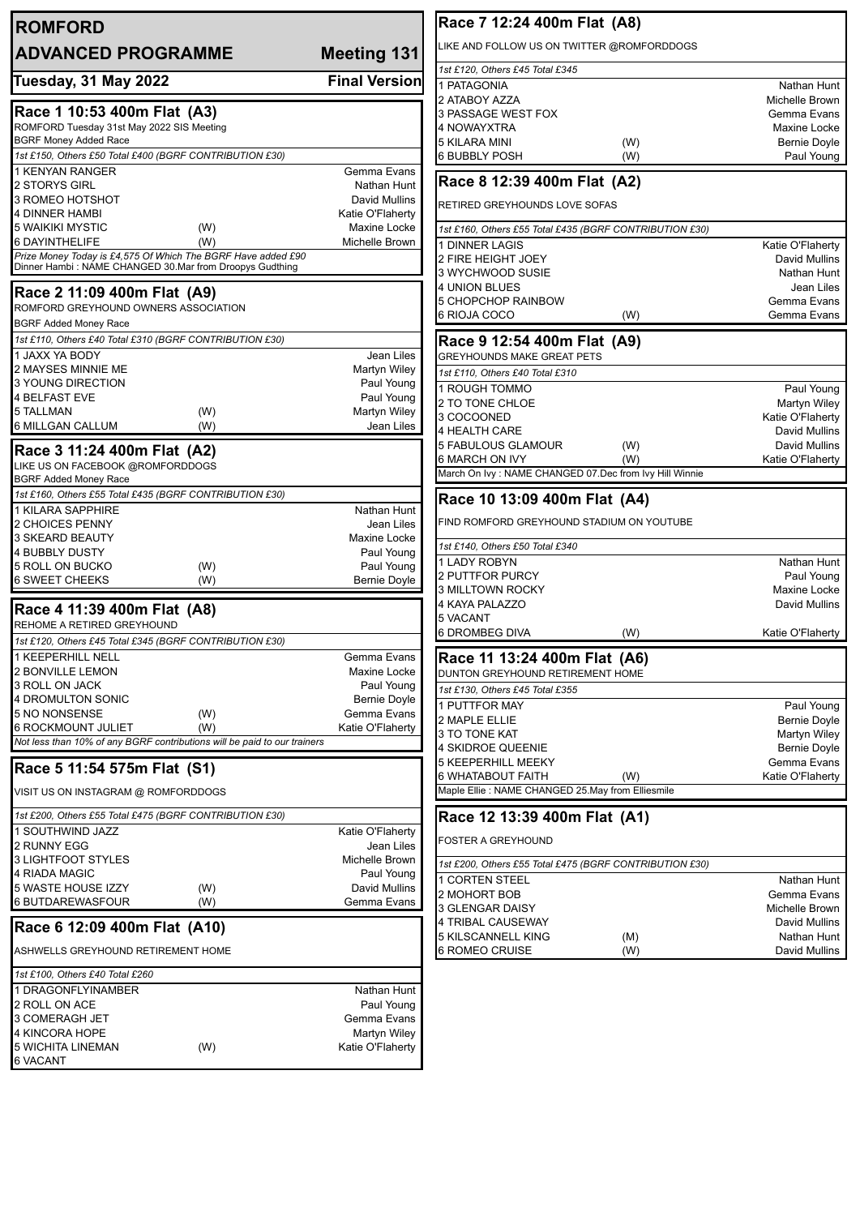| <b>ROMFORD</b>                                                               |                                    | Race 7 12:24 400m Flat (A8)                                                    |                                     |
|------------------------------------------------------------------------------|------------------------------------|--------------------------------------------------------------------------------|-------------------------------------|
| <b>ADVANCED PROGRAMME</b>                                                    | <b>Meeting 131</b>                 | LIKE AND FOLLOW US ON TWITTER @ROMFORDDOGS                                     |                                     |
|                                                                              |                                    | 1st £120, Others £45 Total £345                                                |                                     |
| Tuesday, 31 May 2022                                                         | <b>Final Version</b>               | 1 PATAGONIA                                                                    | Nathan Hunt                         |
| Race 1 10:53 400m Flat (A3)                                                  |                                    | 2 ATABOY AZZA                                                                  | Michelle Brown                      |
| ROMFORD Tuesday 31st May 2022 SIS Meeting                                    |                                    | 3 PASSAGE WEST FOX<br>4 NOWAYXTRA                                              | Gemma Evans<br>Maxine Locke         |
| <b>BGRF Money Added Race</b>                                                 |                                    | 5 KILARA MINI<br>(W)                                                           | <b>Bernie Doyle</b>                 |
| 1st £150, Others £50 Total £400 (BGRF CONTRIBUTION £30)                      |                                    | <b>6 BUBBLY POSH</b><br>(W)                                                    | Paul Young                          |
| <b>1 KENYAN RANGER</b>                                                       | Gemma Evans                        |                                                                                |                                     |
| 2 STORYS GIRL                                                                | Nathan Hunt                        | Race 8 12:39 400m Flat (A2)                                                    |                                     |
| 3 ROMEO HOTSHOT                                                              | David Mullins                      | RETIRED GREYHOUNDS LOVE SOFAS                                                  |                                     |
| 4 DINNER HAMBI<br><b>5 WAIKIKI MYSTIC</b><br>(W)                             | Katie O'Flaherty<br>Maxine Locke   |                                                                                |                                     |
| 6 DAYINTHELIFE<br>(W)                                                        | Michelle Brown                     | 1st £160, Others £55 Total £435 (BGRF CONTRIBUTION £30)<br><b>DINNER LAGIS</b> |                                     |
| Prize Money Today is £4,575 Of Which The BGRF Have added £90                 |                                    | 2 FIRE HEIGHT JOEY                                                             | Katie O'Flaherty<br>David Mullins   |
| Dinner Hambi: NAME CHANGED 30.Mar from Droopys Gudthing                      |                                    | 3 WYCHWOOD SUSIE                                                               | Nathan Hunt                         |
| Race 2 11:09 400m Flat (A9)                                                  |                                    | 4 UNION BLUES                                                                  | Jean Liles                          |
| ROMFORD GREYHOUND OWNERS ASSOCIATION                                         |                                    | <b>5 CHOPCHOP RAINBOW</b>                                                      | Gemma Evans                         |
| <b>BGRF Added Money Race</b>                                                 |                                    | 6 RIOJA COCO<br>(W)                                                            | Gemma Evans                         |
| 1st £110, Others £40 Total £310 (BGRF CONTRIBUTION £30)                      |                                    | Race 9 12:54 400m Flat (A9)                                                    |                                     |
| 1 JAXX YA BODY                                                               | Jean Liles                         | <b>GREYHOUNDS MAKE GREAT PETS</b>                                              |                                     |
| 2 MAYSES MINNIE ME                                                           | Martyn Wiley                       | 1st £110. Others £40 Total £310                                                |                                     |
| 3 YOUNG DIRECTION                                                            | Paul Young                         | 1 ROUGH TOMMO                                                                  | Paul Young                          |
| <b>4 BELFAST EVE</b>                                                         | Paul Young                         | 2 TO TONE CHLOE                                                                | Martyn Wiley                        |
| 5 TALLMAN<br>(W)<br>6 MILLGAN CALLUM<br>(W)                                  | <b>Martyn Wiley</b><br>Jean Liles  | 3 COCOONED                                                                     | Katie O'Flaherty                    |
|                                                                              |                                    | 4 HEALTH CARE                                                                  | <b>David Mullins</b>                |
| Race 3 11:24 400m Flat (A2)                                                  |                                    | <b>5 FABULOUS GLAMOUR</b><br>(W)<br>6 MARCH ON IVY<br>(W)                      | David Mullins<br>Katie O'Flaherty   |
| LIKE US ON FACEBOOK @ROMFORDDOGS                                             |                                    | March On Ivy : NAME CHANGED 07.Dec from Ivy Hill Winnie                        |                                     |
| <b>BGRF Added Money Race</b>                                                 |                                    |                                                                                |                                     |
| 1st £160, Others £55 Total £435 (BGRF CONTRIBUTION £30)<br>1 KILARA SAPPHIRE | Nathan Hunt                        | Race 10 13:09 400m Flat (A4)                                                   |                                     |
| 2 CHOICES PENNY                                                              | Jean Liles                         | FIND ROMFORD GREYHOUND STADIUM ON YOUTUBE                                      |                                     |
| 3 SKEARD BEAUTY                                                              | Maxine Locke                       |                                                                                |                                     |
| <b>4 BUBBLY DUSTY</b>                                                        | Paul Young                         | 1st £140, Others £50 Total £340                                                |                                     |
| 5 ROLL ON BUCKO<br>(W)                                                       | Paul Young                         | 1 LADY ROBYN<br>2 PUTTFOR PURCY                                                | Nathan Hunt<br>Paul Young           |
| <b>6 SWEET CHEEKS</b><br>(W)                                                 | <b>Bernie Doyle</b>                | 3 MILLTOWN ROCKY                                                               | Maxine Locke                        |
| Race 4 11:39 400m Flat (A8)                                                  |                                    | 4 KAYA PALAZZO                                                                 | David Mullins                       |
| REHOME A RETIRED GREYHOUND                                                   |                                    | 5 VACANT                                                                       |                                     |
| 1st £120, Others £45 Total £345 (BGRF CONTRIBUTION £30)                      |                                    | <b>6 DROMBEG DIVA</b><br>(W)                                                   | Katie O'Flaherty                    |
| <b>KEEPERHILL NELL</b>                                                       | Gemma Evans                        | Race 11 13:24 400m Flat (A6)                                                   |                                     |
| <b>2 BONVILLE LEMON</b>                                                      | Maxine Locke                       | DUNTON GREYHOUND RETIREMENT HOME                                               |                                     |
| 3 ROLL ON JACK                                                               | Paul Young                         | 1st £130, Others £45 Total £355                                                |                                     |
| 4 DROMULTON SONIC<br>5 NO NONSENSE<br>(W)                                    | <b>Bernie Doyle</b><br>Gemma Evans | PUTTFOR MAY                                                                    | Paul Young                          |
| <b>6 ROCKMOUNT JULIET</b><br>(W)                                             | Katie O'Flaherty                   | 2 MAPLE ELLIE                                                                  | <b>Bernie Doyle</b>                 |
| Not less than 10% of any BGRF contributions will be paid to our trainers     |                                    | 3 TO TONE KAT<br>4 SKIDROE QUEENIE                                             | Martyn Wiley<br><b>Bernie Doyle</b> |
|                                                                              |                                    | <b>5 KEEPERHILL MEEKY</b>                                                      | Gemma Evans                         |
| Race 5 11:54 575m Flat (S1)                                                  |                                    | 6 WHATABOUT FAITH<br>(W)                                                       | Katie O'Flaherty                    |
| VISIT US ON INSTAGRAM @ ROMFORDDOGS                                          |                                    | Maple Ellie: NAME CHANGED 25.May from Elliesmile                               |                                     |
| 1st £200, Others £55 Total £475 (BGRF CONTRIBUTION £30)                      |                                    |                                                                                |                                     |
| 1 SOUTHWIND JAZZ                                                             | Katie O'Flaherty                   | Race 12 13:39 400m Flat (A1)                                                   |                                     |
| 2 RUNNY EGG                                                                  | Jean Liles                         | <b>FOSTER A GREYHOUND</b>                                                      |                                     |
| 3 LIGHTFOOT STYLES                                                           | Michelle Brown                     | 1st £200, Others £55 Total £475 (BGRF CONTRIBUTION £30)                        |                                     |
| 4 RIADA MAGIC                                                                | Paul Young                         | 1 CORTEN STEEL                                                                 | Nathan Hunt                         |
| 5 WASTE HOUSE IZZY<br>(W)                                                    | David Mullins                      | 2 MOHORT BOB                                                                   | Gemma Evans                         |
| 6 BUTDAREWASFOUR<br>(W)                                                      | Gemma Evans                        | 3 GLENGAR DAISY                                                                | Michelle Brown                      |
| Race 6 12:09 400m Flat (A10)                                                 |                                    | 4 TRIBAL CAUSEWAY                                                              | David Mullins                       |
| ASHWELLS GREYHOUND RETIREMENT HOME                                           |                                    | <b>5 KILSCANNELL KING</b><br>(M)<br>6 ROMEO CRUISE<br>(W)                      | Nathan Hunt<br>David Mullins        |
| 1st £100, Others £40 Total £260                                              |                                    |                                                                                |                                     |
| 1 DRAGONFLYINAMBER                                                           | Nathan Hunt                        |                                                                                |                                     |
| 2 ROLL ON ACE                                                                | Paul Young                         |                                                                                |                                     |
| 3 COMERAGH JET                                                               | Gemma Evans                        |                                                                                |                                     |
| 4 KINCORA HOPE<br><b>5 WICHITA LINEMAN</b><br>(W)                            | Martyn Wiley<br>Katie O'Flaherty   |                                                                                |                                     |
| <b>6 VACANT</b>                                                              |                                    |                                                                                |                                     |
|                                                                              |                                    |                                                                                |                                     |
|                                                                              |                                    |                                                                                |                                     |